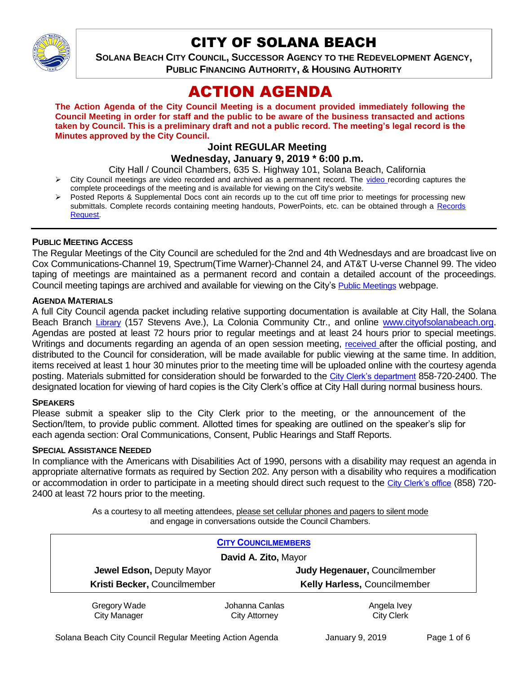

# CITY OF SOLANA BEACH

**SOLANA BEACH CITY COUNCIL, SUCCESSOR AGENCY TO THE REDEVELOPMENT AGENCY, PUBLIC FINANCING AUTHORITY, & HOUSING AUTHORITY** 

# ACTION AGENDA

**The Action Agenda of the City Council Meeting is a document provided immediately following the Council Meeting in order for staff and the public to be aware of the business transacted and actions taken by Council. This is a preliminary draft and not a public record. The meeting's legal record is the Minutes approved by the City Council.**

# **Joint REGULAR Meeting**

**Wednesday, January 9, 2019 \* 6:00 p.m.**

City Hall / Council Chambers, 635 S. Highway 101, Solana Beach, California

- $\triangleright$  City Council meetings are [video r](https://solanabeach.12milesout.com/#page=1)ecorded and archived as a permanent record. The video recording captures the complete proceedings of the meeting and is available for viewing on the City's website.
- Posted Reports & Supplemental Docs cont ain records up to the cut off time prior to meetings for processing new submittals. Complete records containing meeting handouts, PowerPoints, etc. can be obtained through a Records [Request.](http://www.ci.solana-beach.ca.us/index.asp?SEC=F5D45D10-70CE-4291-A27C-7BD633FC6742&Type=B_BASIC)

#### **PUBLIC MEETING ACCESS**

The Regular Meetings of the City Council are scheduled for the 2nd and 4th Wednesdays and are broadcast live on Cox Communications-Channel 19, Spectrum(Time Warner)-Channel 24, and AT&T U-verse Channel 99. The video taping of meetings are maintained as a permanent record and contain a detailed account of the proceedings. Council meeting tapings are archived and available for viewing on the City's [Public Meetings](https://www.ci.solana-beach.ca.us/index.asp?SEC=F0F1200D-21C6-4A88-8AE1-0BC07C1A81A7&Type=B_BASIC) webpage.

#### **AGENDA MATERIALS**

A full City Council agenda packet including relative supporting documentation is available at City Hall, the Solana Beach Branch [Library](http://www.sdcl.org/locations_SB.html) (157 Stevens Ave.), La Colonia Community Ctr., and online [www.cityofsolanabeach.org.](http://www.cityofsolanabeach.org/) Agendas are posted at least 72 hours prior to regular meetings and at least 24 hours prior to special meetings. Writings and documents regarding an agenda of an open session meeting, [received](mailto:EMAILGRP-CityClerksOfc@cosb.org) after the official posting, and distributed to the Council for consideration, will be made available for public viewing at the same time. In addition, items received at least 1 hour 30 minutes prior to the meeting time will be uploaded online with the courtesy agenda posting. Materials submitted for consideration should be forwarded to the [City Clerk's department](mailto:EMAILGRP-CityClerksOfc@cosb.org) 858-720-2400. The designated location for viewing of hard copies is the City Clerk's office at City Hall during normal business hours.

#### **SPEAKERS**

Please submit a speaker slip to the City Clerk prior to the meeting, or the announcement of the Section/Item, to provide public comment. Allotted times for speaking are outlined on the speaker's slip for each agenda section: Oral Communications, Consent, Public Hearings and Staff Reports.

#### **SPECIAL ASSISTANCE NEEDED**

In compliance with the Americans with Disabilities Act of 1990, persons with a disability may request an agenda in appropriate alternative formats as required by Section 202. Any person with a disability who requires a modification or accommodation in order to participate in a meeting should direct such request to the [City Clerk's office](mailto:clerkadmin@cosb.org?subject=City%20Clerk%20Notice%20of%20Special%20Services%20Needed) (858) 720- 2400 at least 72 hours prior to the meeting.

> As a courtesy to all meeting attendees, please set cellular phones and pagers to silent mode and engage in conversations outside the Council Chambers.

| <b>CITY COUNCILMEMBERS</b><br>David A. Zito, Mayor |                               |                   |  |  |
|----------------------------------------------------|-------------------------------|-------------------|--|--|
| Jewel Edson, Deputy Mayor                          | Judy Hegenauer, Councilmember |                   |  |  |
| Kristi Becker, Councilmember                       | Kelly Harless, Councilmember  |                   |  |  |
| Gregory Wade                                       | Johanna Canlas                | Angela Ivey       |  |  |
| <b>City Manager</b>                                | <b>City Attorney</b>          | <b>City Clerk</b> |  |  |

Solana Beach City Council Regular Meeting Action Agenda January 9, 2019 Page 1 of 6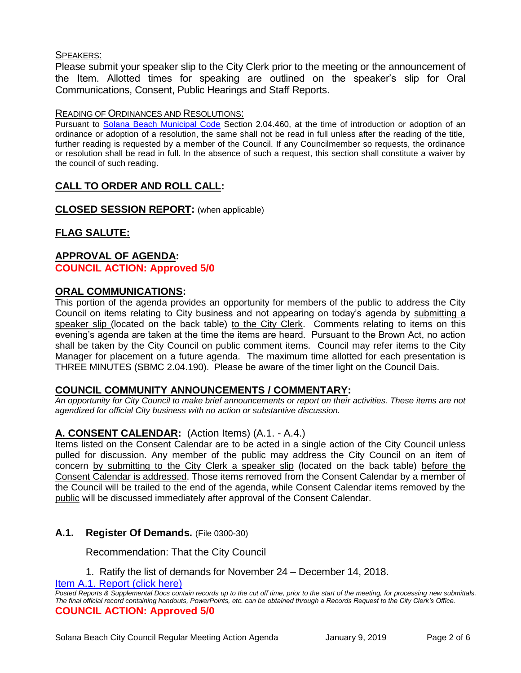## SPEAKERS:

Please submit your speaker slip to the City Clerk prior to the meeting or the announcement of the Item. Allotted times for speaking are outlined on the speaker's slip for Oral Communications, Consent, Public Hearings and Staff Reports.

#### READING OF ORDINANCES AND RESOLUTIONS:

Pursuant to [Solana Beach Municipal Code](mailto:https://www.codepublishing.com/CA/SolanaBeach/) Section 2.04.460, at the time of introduction or adoption of an ordinance or adoption of a resolution, the same shall not be read in full unless after the reading of the title, further reading is requested by a member of the Council. If any Councilmember so requests, the ordinance or resolution shall be read in full. In the absence of such a request, this section shall constitute a waiver by the council of such reading.

# **CALL TO ORDER AND ROLL CALL:**

**CLOSED SESSION REPORT:** (when applicable)

# **FLAG SALUTE:**

## **APPROVAL OF AGENDA: COUNCIL ACTION: Approved 5/0**

## **ORAL COMMUNICATIONS:**

This portion of the agenda provides an opportunity for members of the public to address the City Council on items relating to City business and not appearing on today's agenda by submitting a speaker slip (located on the back table) to the City Clerk. Comments relating to items on this evening's agenda are taken at the time the items are heard. Pursuant to the Brown Act, no action shall be taken by the City Council on public comment items. Council may refer items to the City Manager for placement on a future agenda. The maximum time allotted for each presentation is THREE MINUTES (SBMC 2.04.190). Please be aware of the timer light on the Council Dais.

#### **COUNCIL COMMUNITY ANNOUNCEMENTS / COMMENTARY:**

*An opportunity for City Council to make brief announcements or report on their activities. These items are not agendized for official City business with no action or substantive discussion.* 

# **A. CONSENT CALENDAR:** (Action Items) (A.1. - A.4.)

Items listed on the Consent Calendar are to be acted in a single action of the City Council unless pulled for discussion. Any member of the public may address the City Council on an item of concern by submitting to the City Clerk a speaker slip (located on the back table) before the Consent Calendar is addressed. Those items removed from the Consent Calendar by a member of the Council will be trailed to the end of the agenda, while Consent Calendar items removed by the public will be discussed immediately after approval of the Consent Calendar.

# **A.1. Register Of Demands.** (File 0300-30)

Recommendation: That the City Council

1. Ratify the list of demands for November 24 – December 14, 2018.

[Item A.1. Report \(click here\)](https://solanabeach.govoffice3.com/vertical/Sites/%7B840804C2-F869-4904-9AE3-720581350CE7%7D/uploads/Item_A.1._Report_(click_here)_01-09-19.PDF) 

*Posted Reports & Supplemental Docs contain records up to the cut off time, prior to the start of the meeting, for processing new submittals. The final official record containing handouts, PowerPoints, etc. can be obtained through a Records Request to the City Clerk's Office.* **COUNCIL ACTION: Approved 5/0**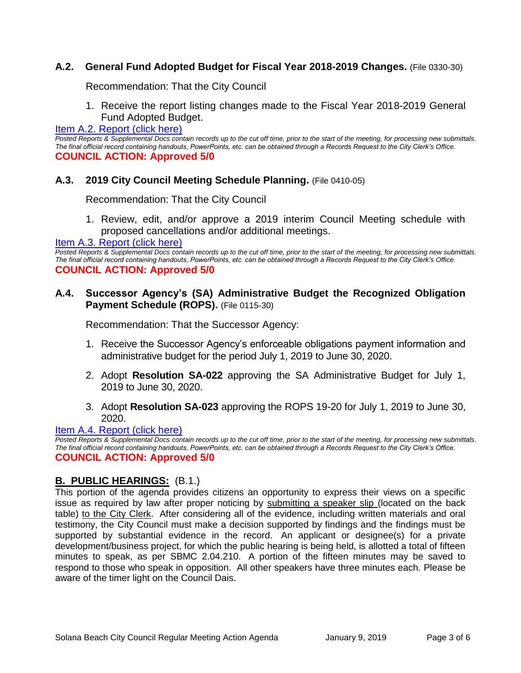# **A.2. General Fund Adopted Budget for Fiscal Year 2018-2019 Changes.** (File 0330-30)

Recommendation: That the City Council

1. Receive the report listing changes made to the Fiscal Year 2018-2019 General Fund Adopted Budget.

[Item A.2. Report \(click here\)](https://solanabeach.govoffice3.com/vertical/Sites/%7B840804C2-F869-4904-9AE3-720581350CE7%7D/uploads/Item_A.2._Report_(click_here)_01-09-19.PDF) 

*Posted Reports & Supplemental Docs contain records up to the cut off time, prior to the start of the meeting, for processing new submittals. The final official record containing handouts, PowerPoints, etc. can be obtained through a Records Request to the City Clerk's Office.* **COUNCIL ACTION: Approved 5/0**

# **A.3. 2019 City Council Meeting Schedule Planning.** (File 0410-05)

Recommendation: That the City Council

1. Review, edit, and/or approve a 2019 interim Council Meeting schedule with proposed cancellations and/or additional meetings.

## Item A.3. Report (click here)

*Posted Reports & Supplemental Docs contain records up to the cut off time, prior to the start of the meeting, for processing new submittals. The final official record containing handouts, PowerPoints, etc. can be obtained through a Records Request to the City Clerk's Office.* **COUNCIL ACTION: Approved 5/0**

# **A.4. Successor Agency's (SA) Administrative Budget the Recognized Obligation**  Payment Schedule (ROPS). (File 0115-30)

Recommendation: That the Successor Agency:

- 1. Receive the Successor Agency's enforceable obligations payment information and administrative budget for the period July 1, 2019 to June 30, 2020.
- 2. Adopt **Resolution SA-022** approving the SA Administrative Budget for July 1, 2019 to June 30, 2020.
- 3. Adopt **Resolution SA-023** approving the ROPS 19-20 for July 1, 2019 to June 30, 2020.

#### [Item A.4. Report \(click here\)](https://solanabeach.govoffice3.com/vertical/Sites/%7B840804C2-F869-4904-9AE3-720581350CE7%7D/uploads/Item_A.4._Report_(click_here)_01-09-19.PDF)

*Posted Reports & Supplemental Docs contain records up to the cut off time, prior to the start of the meeting, for processing new submittals. The final official record containing handouts, PowerPoints, etc. can be obtained through a Records Request to the City Clerk's Office.* **COUNCIL ACTION: Approved 5/0**

# **B. PUBLIC HEARINGS:** (B.1.)

This portion of the agenda provides citizens an opportunity to express their views on a specific issue as required by law after proper noticing by submitting a speaker slip (located on the back table) to the City Clerk. After considering all of the evidence, including written materials and oral testimony, the City Council must make a decision supported by findings and the findings must be supported by substantial evidence in the record. An applicant or designee(s) for a private development/business project, for which the public hearing is being held, is allotted a total of fifteen minutes to speak, as per SBMC 2.04.210. A portion of the fifteen minutes may be saved to respond to those who speak in opposition. All other speakers have three minutes each. Please be aware of the timer light on the Council Dais.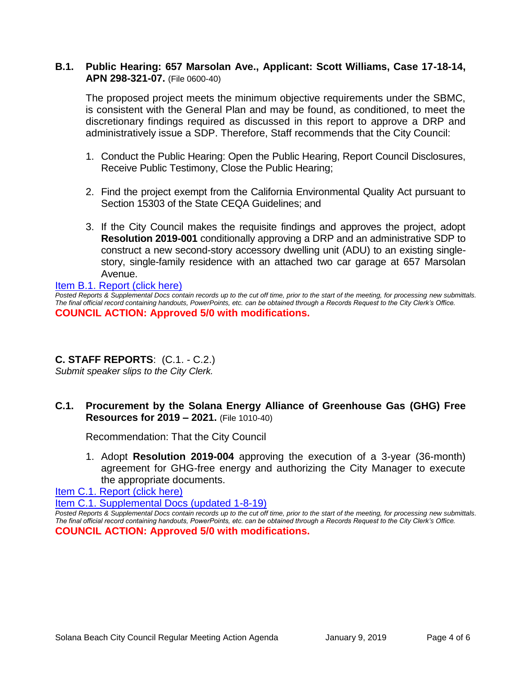# **B.1. Public Hearing: 657 Marsolan Ave., Applicant: Scott Williams, Case 17-18-14, APN 298-321-07.** (File 0600-40)

The proposed project meets the minimum objective requirements under the SBMC, is consistent with the General Plan and may be found, as conditioned, to meet the discretionary findings required as discussed in this report to approve a DRP and administratively issue a SDP. Therefore, Staff recommends that the City Council:

- 1. Conduct the Public Hearing: Open the Public Hearing, Report Council Disclosures, Receive Public Testimony, Close the Public Hearing;
- 2. Find the project exempt from the California Environmental Quality Act pursuant to Section 15303 of the State CEQA Guidelines; and
- 3. If the City Council makes the requisite findings and approves the project, adopt **Resolution 2019-001** conditionally approving a DRP and an administrative SDP to construct a new second-story accessory dwelling unit (ADU) to an existing singlestory, single-family residence with an attached two car garage at 657 Marsolan Avenue.

#### [Item B.1. Report \(click here\)](https://solanabeach.govoffice3.com/vertical/Sites/%7B840804C2-F869-4904-9AE3-720581350CE7%7D/uploads/Item_B.1._Report_(click_here)_01-09-19.PDF)

*Posted Reports & Supplemental Docs contain records up to the cut off time, prior to the start of the meeting, for processing new submittals. The final official record containing handouts, PowerPoints, etc. can be obtained through a Records Request to the City Clerk's Office.* **COUNCIL ACTION: Approved 5/0 with modifications.**

# **C. STAFF REPORTS**: (C.1. - C.2.)

*Submit speaker slips to the City Clerk.*

# **C.1. Procurement by the Solana Energy Alliance of Greenhouse Gas (GHG) Free Resources for 2019 – 2021.** (File 1010-40)

Recommendation: That the City Council

1. Adopt **Resolution 2019-004** approving the execution of a 3-year (36-month) agreement for GHG-free energy and authorizing the City Manager to execute the appropriate documents.

[Item C.1. Report \(click here\)](https://solanabeach.govoffice3.com/vertical/Sites/%7B840804C2-F869-4904-9AE3-720581350CE7%7D/uploads/Item_C.1._Report_(click_here)_01-09-19.PDF) 

[Item C.1. Supplemental Docs \(updated 1-8-19\)](https://solanabeach.govoffice3.com/vertical/Sites/%7B840804C2-F869-4904-9AE3-720581350CE7%7D/uploads/Item_C.1._Supplemental_Docs_(updated_1-8-19).pdf) 

*Posted Reports & Supplemental Docs contain records up to the cut off time, prior to the start of the meeting, for processing new submittals. The final official record containing handouts, PowerPoints, etc. can be obtained through a Records Request to the City Clerk's Office.* **COUNCIL ACTION: Approved 5/0 with modifications.**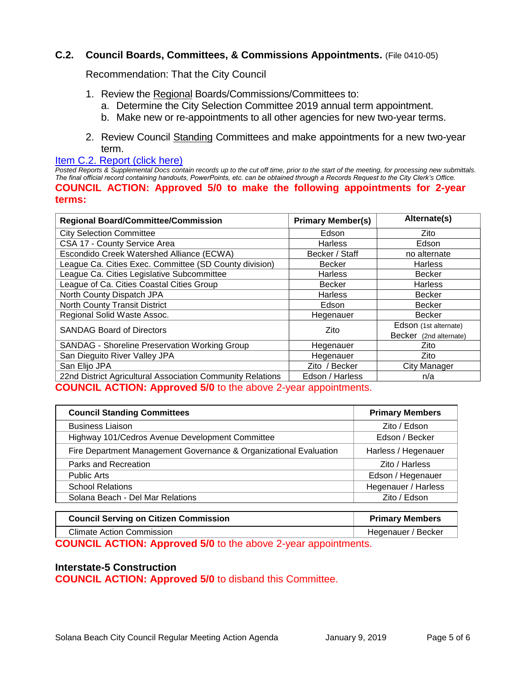# **C.2. Council Boards, Committees, & Commissions Appointments.** (File 0410-05)

Recommendation: That the City Council

- 1. Review the Regional Boards/Commissions/Committees to:
	- a. Determine the City Selection Committee 2019 annual term appointment.
	- b. Make new or re-appointments to all other agencies for new two-year terms.
- 2. Review Council Standing Committees and make appointments for a new two-year term.

#### [Item C.2. Report \(click here\)](https://solanabeach.govoffice3.com/vertical/Sites/%7B840804C2-F869-4904-9AE3-720581350CE7%7D/uploads/Item_C.2._Report_(click_here)_01-09-19.PDF)

*Posted Reports & Supplemental Docs contain records up to the cut off time, prior to the start of the meeting, for processing new submittals. The final official record containing handouts, PowerPoints, etc. can be obtained through a Records Request to the City Clerk's Office.* **COUNCIL ACTION: Approved 5/0 to make the following appointments for 2-year terms:** 

| <b>Regional Board/Committee/Commission</b>                 | <b>Primary Member(s)</b> | Alternate(s)           |
|------------------------------------------------------------|--------------------------|------------------------|
| <b>City Selection Committee</b>                            | Edson                    | Zito                   |
| CSA 17 - County Service Area                               | <b>Harless</b>           | Edson                  |
| Escondido Creek Watershed Alliance (ECWA)                  | Becker / Staff           | no alternate           |
| League Ca. Cities Exec. Committee (SD County division)     | <b>Becker</b>            | <b>Harless</b>         |
| League Ca. Cities Legislative Subcommittee                 | <b>Harless</b>           | <b>Becker</b>          |
| League of Ca. Cities Coastal Cities Group                  | <b>Becker</b>            | <b>Harless</b>         |
| North County Dispatch JPA                                  | <b>Harless</b>           | <b>Becker</b>          |
| <b>North County Transit District</b>                       | Edson                    | <b>Becker</b>          |
| Regional Solid Waste Assoc.                                | Hegenauer                | <b>Becker</b>          |
| <b>SANDAG Board of Directors</b>                           | Zito                     | Edson (1st alternate)  |
|                                                            |                          | Becker (2nd alternate) |
| <b>SANDAG - Shoreline Preservation Working Group</b>       | Hegenauer                | Zito                   |
| San Dieguito River Valley JPA                              | Hegenauer                | Zito                   |
| San Elijo JPA                                              | Zito / Becker            | City Manager           |
| 22nd District Agricultural Association Community Relations | Edson / Harless          | n/a                    |

**COUNCIL ACTION: Approved 5/0** to the above 2-year appointments.

| <b>Council Standing Committees</b>                                | <b>Primary Members</b> |
|-------------------------------------------------------------------|------------------------|
| <b>Business Liaison</b>                                           | Zito / Edson           |
| Highway 101/Cedros Avenue Development Committee                   | Edson / Becker         |
| Fire Department Management Governance & Organizational Evaluation | Harless / Hegenauer    |
| Parks and Recreation                                              | Zito / Harless         |
| <b>Public Arts</b>                                                | Edson / Hegenauer      |
| <b>School Relations</b>                                           | Hegenauer / Harless    |
| Solana Beach - Del Mar Relations                                  | Zito / Edson           |

| <b>Council Serving on Citizen Commission</b> | <b>Primary Members</b> |
|----------------------------------------------|------------------------|
| Climate Action Commission                    | Hegenauer / Becker     |

**COUNCIL ACTION: Approved 5/0** to the above 2-year appointments.

#### **Interstate-5 Construction**

**COUNCIL ACTION: Approved 5/0** to disband this Committee.